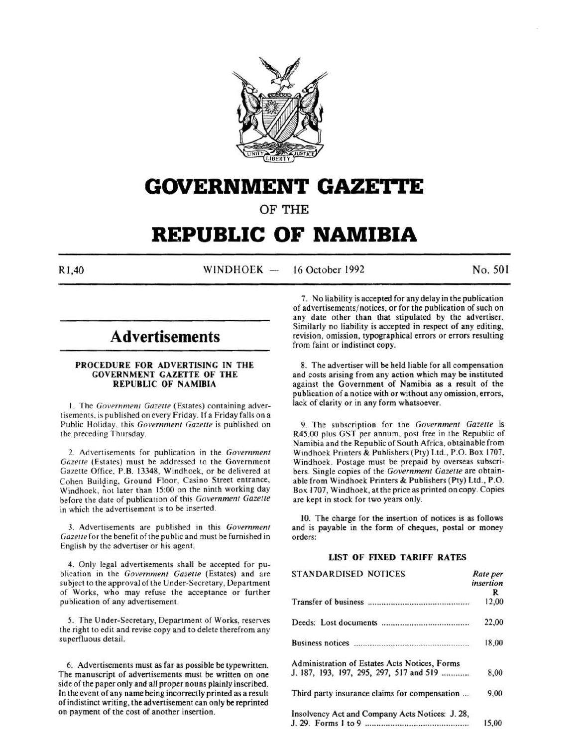

# **GOVERNMENT GAZETTE**

OF THE

# **REPUBLIC OF NAMIBIA**

 $R1,40$  WINDHOEK  $-$ 16 October 1992 No. 501

# **Advertisements**

# PROCEDURE FOR ADVERTISING IN THE GOVERNMENT GAZETTE OF THE REPUBLIC OF NAMIBIA

1. The *Government Gazette* (Estates) containing advertisements, is published on every Friday. If a Friday falls on a Public Holiday, this *Government Gazette* is published on the preceding Thursday.

2. Advertisements for publication in the *Government Gazette* (Estates) must be addressed to the Government Gazette Office. P.B. 13348, Windhoek, or be delivered at Cohen Building. Ground Floor, Casino Street entrance, Windhoek, not later than 15:00 on the ninth working day before the date of publication of this *Government Gazette*  in which the advertisement is to be inserted.

3. Advertisements are published in this *Government*  Gazette for the benefit of the public and must be furnished in English by the advertiser or his agent.

4. Only legal advertisements shall be accepted for publication in the *Government Gazette* (Estates) and are subject to the approval of the Under-Secretary, Department of Works, who may refuse the acceptance or further publication of any advertisement.

*5.* The Under-Secretary, Department of Works, reserves the right to edit and revise copy and to delete therefrom any superfluous detaiL

6. Advertisements must as far as possible be typewritten. The manuscript of advertisements must be written on one side of the paper only and all proper nouns plainly inscribed. In the event of any name being incorrectly printed as a result of indistinct writing, the advertisement can only be reprinted on payment of the cost of another insertion.

7. No liability is accepted for any delay in the publication of advertisements/ notices, or for the publication of such on any date other than that stipulated by the advertiser. Similarly no liability is accepted in respect of any editing, revision, omission, typographical errors or errors resulting from faint or indistinct copy.

8. The advertiser will be held liable for all compensation and costs arising from any action which may be instituted against the Government of Namibia as a result of the publication of a notice with or without any omission, errors, lack of clarity or in any form whatsoever.

9. The subscription for the *Government Gazette* is R45,00 plus GST per annum. post free in the Republic of Namibia and the Republic of South Africa, obtainable from Windhoek Printers & Publishers (Pty) Ltd., P.O. Box 1707. Windhoek. Postage must be prepaid by overseas subscribers. Single copies of the *Government Gazelle* are obtainable from Windhoek Printers & Publishers (Pty) Ltd., P.O. Box 1707, Windhoek, at the price as printed on copy. Copies are kept in stock for two years only.

10. The charge for the insertion of notices is as follows and is payable in the form of cheques, postal or money orders:

# LIST OF FIXED TARIFF RATES

| STANDARDISED NOTICES                            | Rate per<br>insertion |
|-------------------------------------------------|-----------------------|
|                                                 | R                     |
|                                                 | 12,00                 |
|                                                 | 22,00                 |
|                                                 | 18,00                 |
| Administration of Estates Acts Notices, Forms   |                       |
| J. 187, 193, 197, 295, 297, 517 and 519         | 8,00                  |
| Third party insurance claims for compensation   | 9,00                  |
| Insolvency Act and Company Acts Notices: J. 28, |                       |
|                                                 | 15.00                 |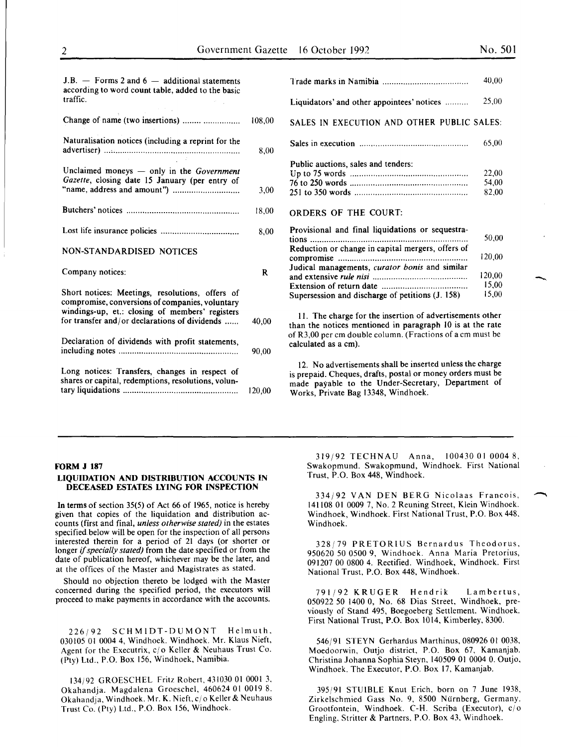-

| $J.B.$ – Forms 2 and 6 – additional statements<br>according to word count table, added to the basic<br>traffic.                                                                                        |        |
|--------------------------------------------------------------------------------------------------------------------------------------------------------------------------------------------------------|--------|
| Change of name (two insertions)                                                                                                                                                                        | 108,00 |
| Naturalisation notices (including a reprint for the                                                                                                                                                    | 8,00   |
| Unclaimed moneys $-$ only in the Government<br>Gazette, closing date 15 January (per entry of                                                                                                          | 3,00   |
|                                                                                                                                                                                                        | 18,00  |
|                                                                                                                                                                                                        | 8,00   |
| <b>NON-STANDARDISED NOTICES</b>                                                                                                                                                                        |        |
| Company notices:                                                                                                                                                                                       | R      |
| Short notices: Meetings, resolutions, offers of<br>compromise, conversions of companies, voluntary<br>windings-up, et.: closing of members' registers<br>for transfer and/or declarations of dividends | 40,00  |
| Declaration of dividends with profit statements,                                                                                                                                                       | 90,00  |
| Long notices: Transfers, changes in respect of<br>shares or capital, redemptions, resolutions, volun-                                                                                                  | 120,00 |

|                                                                                                                                                                                                                      | 40,00                                       |
|----------------------------------------------------------------------------------------------------------------------------------------------------------------------------------------------------------------------|---------------------------------------------|
| Liquidators' and other appointees' notices                                                                                                                                                                           | 25,00                                       |
| SALES IN EXECUTION AND OTHER PUBLIC SALES:                                                                                                                                                                           |                                             |
|                                                                                                                                                                                                                      | 65,00                                       |
| Public auctions, sales and tenders:<br><b>ORDERS OF THE COURT:</b>                                                                                                                                                   | 22,00<br>54,00<br>82,00                     |
| Provisional and final liquidations or sequestra-<br>tions<br>Reduction or change in capital mergers, offers of<br>Judical managements, curator bonis and similar<br>Supersession and discharge of petitions (J. 158) | 50,00<br>120,00<br>120,00<br>15.00<br>15,00 |

II. The charge for the insertion of advertisements other than the notices mentioned in paragraph 10 is at the rate of R3,00 per em double column. (Fractions of a em must be calculated as a em).

12. No advertisements shall be inserted unless the charge is prepaid. Cheques, drafts, postal or money orders must be made payable to the Under-Secretary, Department of Works, Private Bag 13348, Windhoek.

# FORM J 187

# LIQUIDATION AND DISTRIBUTION ACCOUNTS IN DECEASED ESTATES LYING FOR INSPECTION

In terms of section 35(5) of Act 66 of 1965, notice is hereby given that copies of the liquidation and distribution accounts (first and final, *unless otherwise stated)* in the estates specified. below will be open for the inspection of all persons interested therein for a period of 21 days (or shorter or longer if *specially stated)* from the date specified or from the date of publication hereof, whichever may be the later, and at the offices of the Master and Magistrates as stated.

Should no objection thereto be lodged with the Master concerned during the specified period, the executors will proceed to make payments in accordance with the accounts.

226j92 SCHMIDT-DUMONT Helmuth, 030105 01 0004 4, Windhoek. Windhoek. Mr. Klaus Nieft, Agent for the Executrix, c/o Keller & Neuhaus Trust Co. (Pty) Ltd., P.O. Box 156, Windhoek, Namibia.

134/92 GROESCHEL Fritz Robert, 431030 01 0001 3, Okahandja. Magdalena Groeschel, 460624 01 0019 8. Okahandja, Windhoek. Mr. K. Nieft,c/o Keller& Neuhaus Trust Co. (Pty) Ltd., P.O. Box 156, Windhoek.

319/92 TECHNAU Anna, 100430 01 0004 8, Swakopmund. Swakopmund, Windhoek. First National Trust, P.O. Box 448, Windhoek.

334/92 VAN DEN BERG Nicolaas Francois, ~ 141108 01 0009 7, No.2 Reuning Street, Klein Windhoek. Windhoek, Windhoek. First National Trust, P.O. Box 448, Windhoek.

328/79 PRETORIUS Bernardus Theodorus, 950620 50 0500 9, Windhoek. Anna Maria Pretorius, 091207 00 0800 4. Rectified. Windhoek, Windhoek. First National Trust, P.O. Box 448, Windhoek.

791/92 KRUGER Hendrik Lambertus, 050922 50 1400 0, No. 68 Dias Street, Windhoek, previously of Stand 495, Boegoeberg Settlement. Windhoek. First National Trust, P.O. Box 1014, Kimberley, 8300.

546/91 STEYN Gerhardus Marthinus, 080926 01 0038, Moedoorwin, Outjo district, P.O. Box 67, Kamanjab. Christina Johanna Sophia Steyn, 140509 01 0004 0. Outjo, Windhoek. The Executor, P.O. Box 17, Kamanjab.

395/91 STUIBLE Knut Erich, born on 7 June 1938, Zirkelschmied Gass No. 9, 8500 Nurnberg, Germany. Grootfontein, Windhoek. C-H. Scriba (Executor), c/o Engling. Stritter & Partners. P.O. Box 43, Windhoek.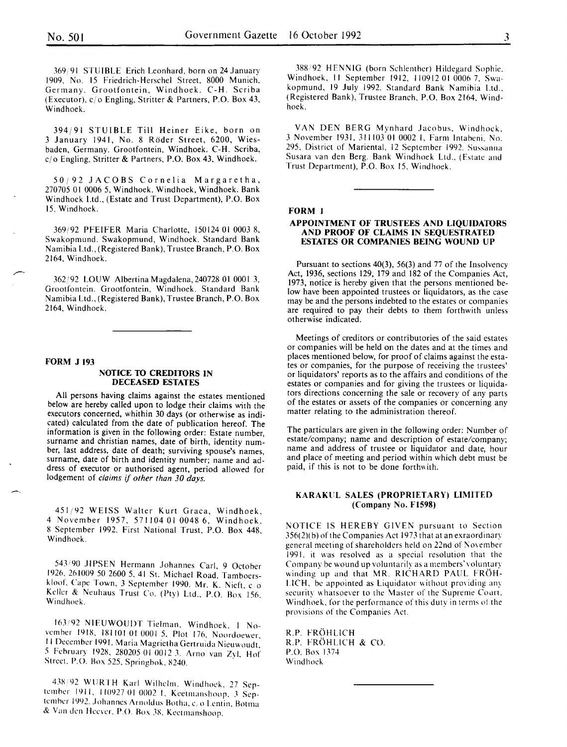369/91 STUIBLE Erich Leonhard, born on 24 January 1909. No. 15 friedrich-Herschel Street, 8000 Munich. Germany. Grootfontein. Windhoek. C-H. Scriba (Executor). c/o Engling, Stritter & Partners, P.O. Box 43, Windhoek.

394;91 STUIBLE Till Heiner Eike, born on 3 January 1941, No. 8 Roder Street, 6200, Wiesbaden, Germany. Grootfontein, Windhoek. C-H. Scriba,  $c/\sigma$  Engling, Stritter & Partners, P.O. Box 43, Windhoek.

50;92 JACOBS Cornelia Margaretha, 270705 01 0006 5, Windhoek. Windhoek, Windhoek. Bank Windhoek Ltd., (Estate and Trust Department), P.O. Box 15. Windhoek.

369;92 PFEIFER Maria Charlotte, 150124 01 0003 8, Swakopmund. Swakopmund, Windhoek. Standard Bank Namibia Ltd., (Registered Bank), Trustee Branch, P.O. Box 2164, Windhoek.

362/92 LOUW Albertina Magdalena, 240728 01 0001 3, Grootfontein. Grootfontein, Windhoek. Standard Bank Namibia Ltd., (Registered Bank), Trustee Branch, P.O. Box 2164. Windhoek.

#### FORM J 193

#### NOTICE TO CREDITORS IN DECEASED ESTATES

All persons having claims against the estates mentioned below are hereby called upon to lodge their claims with the executors concerned, whithin 30 days (or otherwise as indicated) calculated from the date of publication hereof. The information is given in the following order: Estate number, surname and christian names, date of birth, identity number, last address, date of death; surviving spouse's names, surname, date of birth and identity number; name and address of executor or authorised agent, period allowed for lodgement of *claims* if *other than 30 days.* 

451/92 WEISS Walter Kurt Graca, Windhoek. 4 November 1957, 571104 01 0048 6, Windhoek. 8 September 1992. First National Trust, P.O. Box 448. Windhoek.

543 <sup>1</sup> 90 JIPSEN Hermann Johannes Carl. 9 October 1926, 261009 50 2600 5. 41 St. Michael Road. Tamboerskloof, Cape Town, 3 September 1990. Mr. K. Nieft, co Keller & Neuhaus Trust Co. (Pty) Ltd., P.O. Box 156, Windhoek.

163 192 NIFUWOUDT Tielman. Windhoek. I November 1918, 181101 01 0001 5. Plot 176. Noordoewer II December 1991. Maria Magrietha Gertruida Nieuwoudt, 5 February 1928, 280205 01 0012 3. Arno van Zyl, Hof Street, P.O. Box 525, Springbok, 8240.

438' 92 Wll RTH Karl Wilhelm. Windhoek. 27 September IYII. 110927 01 0002 I. Keetmanshoop. 3 September 1992. Johannes Arnoldus Botha, c<sub>/</sub> o Lentin, Botma & Van den Heever, P.O. Box 38, Keetmanshoop.

388 92 HENNIG (born Schlenther) Hildegard Sophie. Windhoek. II September 1912. 110912 01 0006 7. Swakopmund, 19 July 1992. Standard Bank Namibia Ltd., (Registered Bank), Trustee Branch. P.O. Box 2164. Windhoek.

VAN DEN BERG Mynhard Jacobus. Windhoek. 3 November 1931. 311103 01 0002 I. Farm lntabeni. No. 295, District of Mariental. 12 September 1992. Sussanna Susara van den Berg. Bank Windhoek Ltd., (Estate and Trust Department), P.O. Box 15, Windhoek.

#### FORM 1

#### APPOINTMENT OF TRUSTEES AND LIQUIDATORS AND PROOF OF CLAIMS IN SEQUESTRATED ESTATES OR COMPANIES BEING WOUND UP

Pursuant to sections 40(3), 56(3) and 77 of the Insolvency Act, 1936, sections 129, 179 and 182 of the Companies Act, 1973, notice is hereby given that the persons mentioned below have been appointed trustees or liquidators, as the case may be and the persons indebted to the estates or companies are required to pay their debts to them forthwith unless otherwise indicated.

Meetings of creditors or contributories of the said estates or companies will be held on the dates and at the times and places mentioned below, for proof of claims against the estates or companies, for the purpose of receiving the trustees' or liquidators' reports as to the affairs and conditions of the estates or companies and for giving the trustees or liquidators directions concerning the sale or recovery of any parts of the estates or assets of the companies or concerning any matter relating to the administration thereof.

The particulars are given in the following order: Number of estate/company; name and description of estate/company; name and address of trustee or liquidator and date, hour and place of meeting and period within which debt must be paid, if this is not to be done forthwith.

# KARAKUL SALES (PROPRIETARY) LIMITED (Company No. F1598)

NOTICE IS HEREBY GIVEN pursuant to Section 356(2)( b) of the Companies Act 1973 that at an exraordinary general meeting of shareholders held on 22nd of November 1991. it was resolved as a special resolution that the Company be wound up voluntarily as a members'voluntary winding up and that MR. RICHARD PAUL FROH- $LICH$ , be appointed as Liquidator without providing any security whatsoever to the Master of the Supreme Coart. Windhoek. for the performance of this duty in terms ot the provisions of the Companies Act.

R.P. FROHLICH R.P. FROHLICH & CO. P.O. Box 1374 Windhoek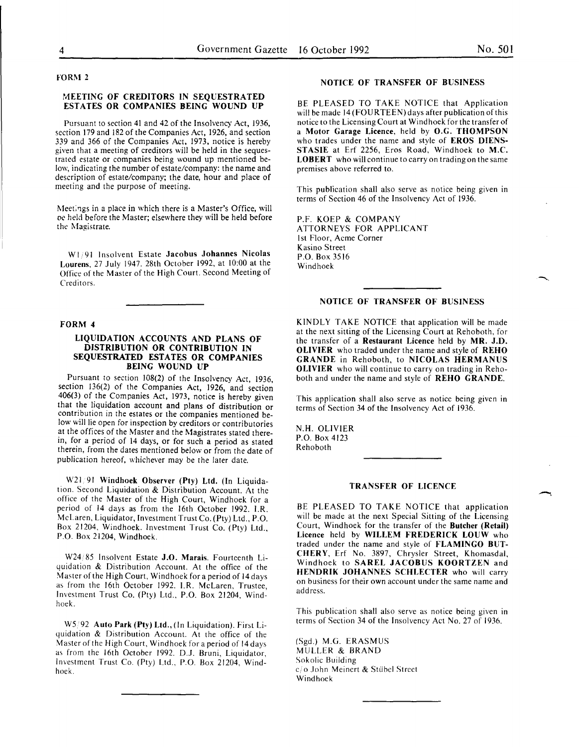#### FORM 2

#### MEETING OF CREDITORS IN SEQUESTRATED ESTATES OR COMPANIES BEING WOUND UP

Pursuant to section 41 and 42 of the Insolvency Act, 1936, section 179 and 182 of the Companies Act, 1926, and section 339 and 366 of the Companies Act, 1973, notice is hereby given that a meeting of creditors will be held in the sequestrated estate or companies being wound up mentioned below, indicating the number of estate/company: the name and description of estate/company; the date, hour and place of meeting and the purpose of meeting.

Meetings in a place in which there is a Master's Office, will oc held before the Master; elsewhere they will be held before the Magistrate.

WI 91 Insolvent Estate Jacobus Johannes Nicolas Lourens, 27 July 1947. 28th October 1992, at 10:00 at the Office of the Master of the High Court. Second Meeting of Creditors.

#### FORM 4

# LIQUIDATION ACCOUNTS AND PLANS OF DISTRIBUTION OR CONTRIBUTION IN SEQUESTRATED ESTATES OR COMPANIES BEING WOUND UP

Pursuant to section 108(2) of the Insolvency Act, 1936, section 136(2) of the Companies Act, 1926, and section 406(3) of the Companies Act, 1973, notice is hereby given that the liquidation account and plans of distribution or contribution in the estates or the companies mentioned below will lie open for inspection by creditors or contributories at the offices of the Master and the Magistrates stated therein, for a period of 14 days, or for such a period as stated therein, from the dates mentioned below or from the date of publication hereof, whichever may be the later date.

W21/91 Windhoek Observer (Pty) Ltd. (In Liquidation. Second Liquidation & Distribution Account. At the office of the Master of the High Court, Windhoek for a period of 14 days as from the 16th October 1992. I.R. McLaren, Liquidator, Investment Trust Co. (Pty) Ltd., P.O. Box 21204, Windhoek. Investment Trust Co. (Pty) Ltd., P.O. Box 21204, Windhoek.

W24/85 Insolvent Estate J.O. Marais. Fourteenth Liquidation & Distribution Account. At the office of the Master of the High Court, Windhoek for a period of 14 days as from the 16th October 1992. I.R. McLaren, Trustee, Investment Trust Co. (Pty) Ltd., P.O. Box 21204, Windhoek.

W5/92 Auto Park (Pty) Ltd., (In Liquidation). First Liquidation & Distribution Account. At the office of the Master of the High Court, Windhoek for a period of 14 days as from the 16th October 1992. D.J. Bruni, Liquidator, Investment Trust Co. (Pty) Ltd., P.O. Box 21204, Windhoek.

### NOTICE OF TRANSFER OF BUSINESS

BE PLEASED TO TAKE NOTICE that Application will be made 14 (FOURTEEN) days after publication of this notice to the Licensing Court at Windhoek for the transfer of a Motor Garage Licence, held by O.G. THOMPSON who trades under the name and style of EROS DIENS-STASIE at Erf 2256, Eros Road, Windhoek to M.C. LOBERT who will continue to carry on trading on the same premises above referred to.

This publication shall also serve as notice being given in terms of Section 46 of the Insolvency Act of 1936.

P.F. KOEP & COMPANY ATTORNEYS FOR APPLICANT 1st Floor, Acme Corner Kasino Street P.O. Box 3516 Windhoek

# NOTICE OF TRANSFER OF BUSINESS

KINDLY TAKE NOTICE that application will be made at the next sitting of the Licensing Court at Rehoboth, for the transfer of a Restaurant Licence held by MR. J.D. OLIVIER who traded under the name and style of REHO GRANDE in Rehoboth, to NICOLAS HERMANUS OLIVIER who will continue to carry on trading in Rehoboth and under the name and style of REHO GRANDE.

This application shall also serve as notice being given in terms of Section 34 of the Insolvency Act of 1936.

N.H. OLIVIER P.O. Box 4123 Rehoboth

# TRANSFER OF LICENCE

BE PLEASED TO TAKE NOTICE that application will be made at the next Special Sitting of the Licensing Court, Windhoek for the transfer of the Butcher (Retail) Licence held by WILLEM FREDERICK LOUW who traded under the name and style of FLAMINGO BUT-CHERY, Erf No. 3897, Chrysler Street, Khomasdal, Windhoek to SAREL JACOBUS KOORTZEN and HENDRIK JOHANNES SCHLECTER who will carry on business for their own account under the same name and address.

This publication shall also serve as notice being given in terms of Section 34 of the Insolvency Act No. 27 of 1936.

(Sgd.) M.G. ERASMUS MULLER & BRAND Sokolic Building *c!* o John Meinert & Stlibcl Street Windhoek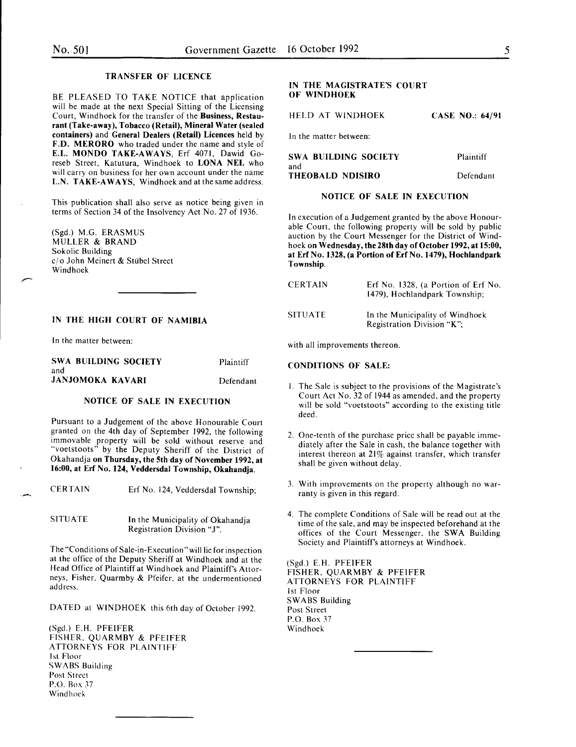# TRANSFER OF LICENCE

BE PLEASED TO TAKE NOTICE that application will be made at the next Special Sitting of the Licensing Court, Windhoek for the transfer of the Business, Restaurant (Take-away), Tobacco (Retail), Mineral Water (sealed containers) and General Dealers (Retail) Licences held by F.D. MERORO who traded under the name and style of E.L. MONDO TAKE-AWAYS, Erf 4071, Dawid Goreseb Street, Katutura, Windhoek to LONA NEL who will carry on business for her own account under the name L.N. TAKE-AWAYS, Windhoek and at the same address.

This publication shall also serve as notice being given in terms of Section 34 of the Insolvency Act No. 27 of 1936.

(Sgd.) M.G. ERASMUS MULLER & BRAND Sokolic Building c/o John Meinert & Stübel Street Windhoek

# IN THE HIGH COURT OF NAMIBIA

In the matter between:

| <b>SWA BUILDING SOCIETY</b> | Plaintiff |
|-----------------------------|-----------|
| and                         |           |
| <b>JANJOMOKA KAVARI</b>     | Defendant |

#### NOTICE OF SALE IN EXECUTION

Pursuant to a Judgement of the above Honourable Court granted on the 4th day of September 1992, the following immovable property will be sold without reserve and "voetstoots" by the Deputy Sheriff of the District of Okahandja on Thursday, the 5th day of November 1992, at 16:00, at Erf No. 124, Veddersdal Township, Okahandja.

CERTAIN Erf No. 124, Veddersdal Township;

SITUATE In the Municipality of Okahandja Registration Division "J".

The "Conditions of Sale-in-Execution" will lie for inspection at the office of the Deputy Sheriff at Windhoek and at the Head Office of Plaintiff at Windhoek and Plaintiff's Attorneys, Fisher, Quarmby & Pfeifer, at the undermentioned address.

DATED at WINDHOEK this 6th day of October 1992.

(Sgd.) E.H. PFEIFER FISHER. QUARMBY & PFEIFER ATTORNEYS FOR PLAINTIFF 1st Floor SWABS Building Post Street P.O. Box 37 Windhoek

# IN THE MAGISTRATE'S COURT OF WINDHOEK

HELD AT WINDHOEK CASE NO.: 64/91

In the matter between:

| SWA BUILDING SOCIETY | Plaintiff |
|----------------------|-----------|
| and                  |           |
| THEOBALD NDISIRO     | Defendant |

# NOTICE OF SALE IN EXECUTION

In execution of a Judgement granted by the above Honourable Court, the following property will be sold by public auction by the Court Messenger for the District of Windhoek on Wednesday, the 28th day of October 1992, at 15:00, at Erf No. 1328, (a Portion of Erf No. 1479), Hochlandpark Township.

| CERTAIN | Erf No. 1328, (a Portion of Erf No.<br>1479), Hochlandpark Township; |
|---------|----------------------------------------------------------------------|
| SITUATE | In the Municipality of Windhoek<br>Registration Division "K".        |

with all improvements thereon.

#### CONDITIONS OF SALE:

- I. The Sale is subject to the provisions of the Magistrate's Court Act No. 32 of 1944 as amended, and the property will be sold "voetstoots" according to the existing title deed.
- 2. One-tenth of the purchase price shall be payable immediately after the Sale in cash, the balance together with interest thereon at 21% against transfer, which transfer shall be given without delay.
- 3. With improvements on the property although no warranty is given in this regard.
- 4. The complete Conditions of Sale will be read out at the time of the sale, and may be inspected beforehand at the offices of the Court Messenger. the SWA Building Society and Plaintiff's attorneys at Windhoek.

(Sgd.) E.H. PFEIFER FISHER, QUARMBY & PFEIFER ATTORNEYS FOR PLAINTIFF 1st Floor SWABS Building Post Street P.O. Box 37 Windhoek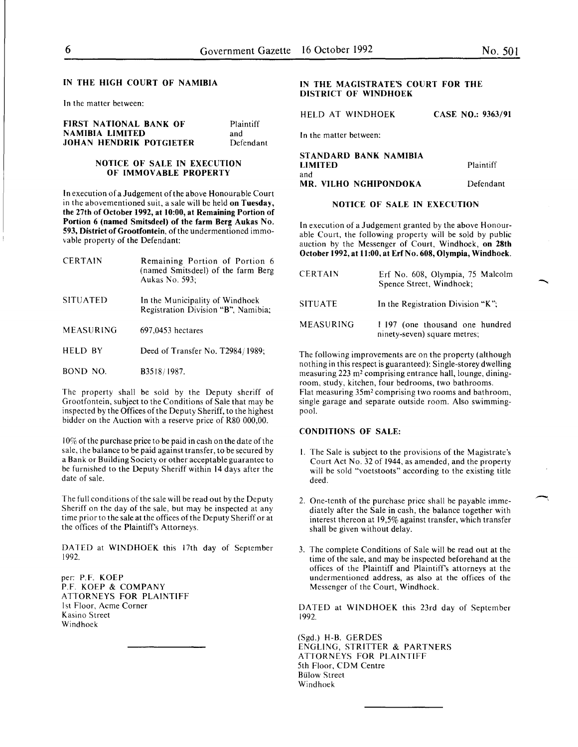In the matter between:

| <b>FIRST NATIONAL BANK OF</b>  | Plaintiff |
|--------------------------------|-----------|
| NAMIBIA LIMITED                | and       |
| <b>JOHAN HENDRIK POTGIETER</b> | Defendant |

# NOTICE OF SALE IN EXECUTION OF IMMOVABLE PROPERTY

In execution of a Judgement of the above Honourable Court in the abovementioned suit, a sale will be held on Tuesday, the 27th of October 1992, at 10:00, at Remaining Portion of Portion 6 (named Smitsdeel) of the farm Berg Aukas No. 593, District of Grootfontein, of the undermentioned immovable property of the Defendant:

| <b>CERTAIN</b>  | Remaining Portion of Portion 6<br>(named Smitsdeel) of the farm Berg<br>Aukas No. 593: |
|-----------------|----------------------------------------------------------------------------------------|
| <b>SITUATED</b> | In the Municipality of Windhoek<br>Registration Division "B", Namibia;                 |
| MEASURING       | 697,0453 hectares                                                                      |
| <b>HELD BY</b>  | Deed of Transfer No. T2984/1989;                                                       |
| BOND NO.        | B3518/1987.                                                                            |

The property shall be sold by the Deputy sheriff of Grootfontein, subject to the Conditions of Sale that may be inspected by the Offices of the Deputy Sheriff, to the highest bidder on the Auction with a reserve price of R80 000,00.

 $10\%$  of the purchase price to be paid in cash on the date of the sale, the balance to be paid against transfer, to be secured by a Bank or Building Society or other acceptable guarantee to be furnished to the Deputy Sheriff within 14 days after the date of sale.

The full conditions of the sale will be read out by the Deputy Sheriff on the day of the sale, but may be inspected at any time prior to the sale at the offices of the Deputy Sheriff or at the offices of the Plaintiff's Attorneys.

DATED at WINDHOEK this 17th day of September 1992.

per: P.F. KOEP P.F. KOEP & COMPANY ATTORNEYS FOR PLAINTIFF 1st Floor, Acme Corner Kasino Street Windhoek

# IN THE MAGISTRATE'S COURT FOR THE DISTRICT OF WINDHOEK

HELD AT WINDHOEK CASE NO.: 9363/91

In the matter between:

STANDARD BANK NAMIBIA LIMITED and MR. VILHO NGHIPONDOKA Plaintiff Defendant

# NOTICE OF SALE IN EXECUTION

In execution of a Judgement granted by the above Honourable Court, the following property will be sold by public auction by the Messenger of Court, Windhoek, on 28th October 1992, at 11:00, at Erf No. 608, Olympia, Windhoek.

| CERTAIN   | Erf No. 608, Olympia, 75 Malcolm<br>Spence Street, Windhoek;    |
|-----------|-----------------------------------------------------------------|
| SITUATE   | In the Registration Division "K".                               |
| MEASURING | 1.197 (one thousand one hundred<br>ninety-seven) square metres; |

The following improvements are on the property (although nothing in this respect is guaranteed): Single-storey dwelling measuring 223 m<sup>2</sup> comprising entrance hall, lounge, diningroom, study, kitchen, four bedrooms, two bathrooms. Flat measuring 35m2 comprising two rooms and bathroom, single garage and separate outside room. Also swimmingpool.

# CONDITIONS OF SALE:

- I. The Sale is subject to the provisions of the Magistrate's Court Act No. 32 of 1944, as amended, and the property will be sold "voetstoots" according to the existing title deed.
- 2. One-tenth of the purchase price shall be payable immediately after the Sale in cash, the balance together with interest thereon at 19,5% against transfer, which transfer shall be given without delay.
- 3. The complete Conditions of Sale will be read out at the time of the sale, and may be inspected beforehand at the offices of the Plaintiff and Plaintiff's attorneys at the undermentioned address, as also at the offices of the Messenger of the Court, Windhoek.

DATED at WINDHOEK this 23rd day of September 1992.

(Sgd.) H-B. GERDES ENGLING, STRITTER & PARTNERS ATTORNEYS FOR PLAINTIFF 5th Floor, CDM Centre **Bülow Street** Windhoek

-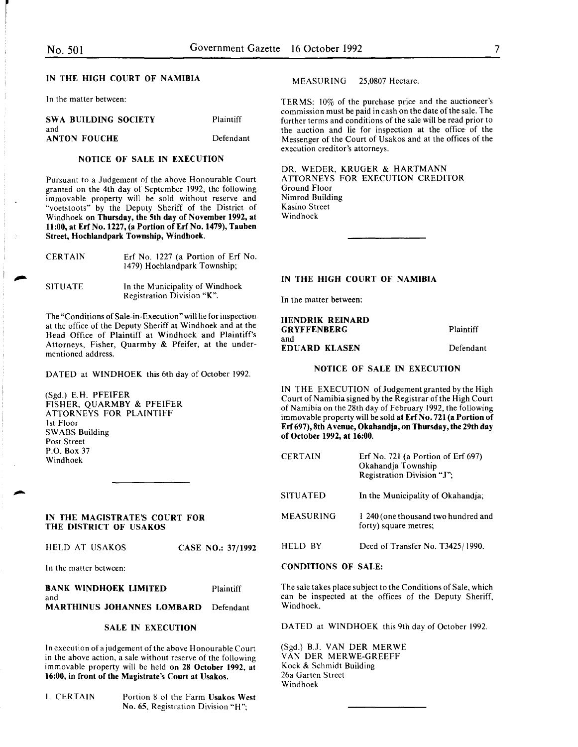In the matter between:

| SWA BUILDING SOCIETY       | Plaintiff |
|----------------------------|-----------|
| and<br><b>ANTON FOUCHE</b> | Defendant |

# NOTICE OF SALE IN EXECUTION

Pursuant to a Judgement of the above Honourable Court granted on the 4th day of September I992, the following immovable property will be sold without reserve and "voetstoots" by the Deputy Sheriff of the District of Windhoek on Thursday, the 5th day of November 1992, at 11:00, at Erf No. 1227, (a Portion of Erf No. 1479), Tauben Street, Hochlandpark Township, Windhoek.

| <b>CERTAIN</b> | Erf No. 1227 (a Portion of Erf No.<br>1479) Hochlandpark Township: |  |  |
|----------------|--------------------------------------------------------------------|--|--|
| <b>SITUATE</b> | In the Municipality of Windhoek<br>Registration Division "K".      |  |  |

The "Conditions of Sale-in-Execution" will lie for inspection at the office of the Deputy Sheriff at Windhoek and at the Head Office of Plaintiff at Windhoek and Plaintiff's Attorneys, Fisher, Quarmby & Pfeifer, at the undermentioned address.

DATED at WINDHOEK this 6th day of October 1992.

(Sgd.) E.H. PFEIFER FISHER, QUARMBY & PFEIFER ATTORNEYS FOR PLAINTIFF 1st Floor SWABS Building Post Street P.O. Box 37 Windhoek

# IN THE MAGISTRATE'S COURT FOR THE DISTRICT OF USAKOS

|  | CASE NO.: 37/1992 |
|--|-------------------|

In the matter between:

BANK WINDHOEK LIMITED Plaintiff and MARTHINUS JOHANNES LOMBARD Defendant

# SALE IN EXECUTION

In execution of a judgement of the above Honourable Court in the above action, a sale without reserve of the following immovable property will be held on 28 October 1992, at 16:00, in front of the Magistrate's Court at Usakos.

I. CERTAIN Portion 8 of the Farm Usakos West No. 65, Registration Division "H";

MEASURING 25,0807 Hectare.

TERMS: 10% of the purchase price and the auctioneer's commission must be paid in cash on the date of the sale. The further terms and conditions of the sale will be read prior to the auction and lie for inspection at the office of the Messenger of the Court of Usakos and at the offices of the execution creditor's attorneys.

DR. WEDER, KRUGER & HARTMANN ATTORNEYS FOR EXECUTION CREDITOR Ground Floor Nimrod Building Kasino Street Windhoek

# IN THE HIGH COURT OF NAMIBIA

In the matter between:

| <b>HENDRIK REINARD</b> |           |
|------------------------|-----------|
| <b>GRYFFENBERG</b>     | Plaintiff |
| and                    |           |
| <b>EDUARD KLASEN</b>   | Defendant |

# NOTICE OF SALE IN EXECUTION

IN THE EXECUTION of Judgement granted by the High Court of Namibia signed by the Registrar of the High Court of Namibia on the 28th day of February I992, the following immovable property will be sold at Erf No. 721 (a Portion of Erf 697), 8th A venue, Okahandja, on Thursday, the 29th day of October 1992, at 16:00.

| <b>CERTAIN</b>   | Erf No. 721 (a Portion of Erf 697)<br>Okahandja Township<br>Registration Division "J"; |
|------------------|----------------------------------------------------------------------------------------|
| <b>SITUATED</b>  | In the Municipality of Okahandja;                                                      |
| <b>MEASURING</b> | 1 240 (one thousand two hundred and<br>forty) square metres;                           |
| HELD BY          | Deed of Transfer No. T3425/1990.                                                       |

# CONDITIONS OF SALE:

The sale takes place subject to the Conditions of Sale, which can be inspected at the offices of the Deputy Sheriff, Windhoek.

DATED at WINDHOEK this 9th day of October 1992.

(Sgd.) B.J. VAN DER MERWE VANDER MERWE-GREEFF Kock & Schmidt Building 26a Garten Street Windhoek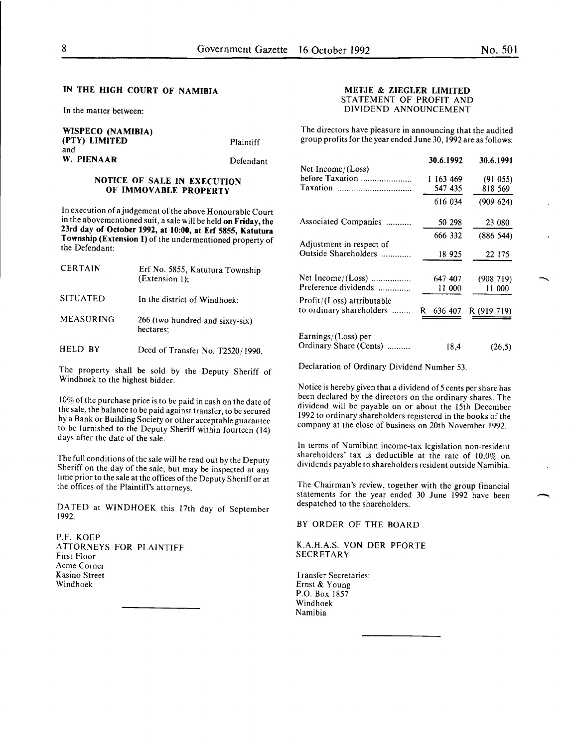In the matter between:

WISPECO (NAMIBIA) (PTY) LIMITED Plaintiff and W. PIENAAR Defendant

# NOTICE OF SALE IN EXECUTION OF IMMOVABLE PROPERTY

In execution of a judgement of the above Honourable Court in the abovementioned suit, a sale will be held on Friday, the 23rd day of October 1992, at 10:00, at Erf 5855, Katutura Township (Extension 1) of the undermentioned property of the Defendant:

| <b>CERTAIN</b>   | Erf No. 5855, Katutura Township<br>$(Extension 1)$ : |
|------------------|------------------------------------------------------|
| <b>SITUATED</b>  | In the district of Windhoek;                         |
| <b>MEASURING</b> | 266 (two hundred and sixty-six)<br>hectares:         |

HELD BY Deed of Transfer No. T2520/1990.

The property shall be sold by the Deputy Sheriff of Windhoek to the highest bidder.

10% of the purchase price is to be paid in cash on the date of the sale, the balance to be paid against transfer, to be secured by a Bank or Building Society or other acceptable guarantee to be furnished to the Deputy Sheriff within fourteen (14) days after the date of the sale.

The full conditions of the sale will be read out by the Deputy Sheriff on the day of the sale, but may be inspected at any time prior to the sale at the offices of the Deputy Sheriff or at the offices of the Plaintiff's attorneys.

DATED at WINDHOEK this 17th day of September 1992.

P.F. KOEP ATTORNEYS FOR PLAINTIFF First Floor Acme Corner Kasino Street Windhoek

# METJE & ZIEGLER LIMITED STATEMENT OF PROFIT AND DIVIDEND ANNOUNCEMENT

The directors have pleasure in announcing that the audited group profits for the year ended June 30, 1992 are as follows:

|                            | 30.6.1992     | 30.6.1991   |
|----------------------------|---------------|-------------|
| Net Income/(Loss)          |               |             |
| before Taxation            | 1 163 469     | (91055)     |
|                            | 547 435       | 818 569     |
|                            | 616 034       | (909624)    |
| Associated Companies       | 50 298        | 23 080      |
|                            | 666 332       | (886544)    |
| Adjustment in respect of   |               |             |
| Outside Shareholders       | 18 925        | 22 175      |
| Net Income/(Loss)          | 647 407       | (908719)    |
| Preference dividends       | 11 000        | 11 000      |
|                            |               |             |
| Profit/(Loss) attributable |               |             |
| to ordinary shareholders   | R.<br>636 407 | R (919 719) |
|                            |               |             |
| Earnings/(Loss) per        |               |             |
| Ordinary Share (Cents)     | 18,4          | (26,5)      |

Declaration of Ordinary Dividend Number 53.

Notice is hereby given that a dividend of 5 cents per share has been declared by the directors on the ordinary shares. The dividend will be payable on or about the 15th December 1992 to ordinary shareholders registered in the books of the company at the close of business on 20th November 1992.

In terms of Namibian income-tax legislation non-resident shareholders' tax is deductible at the rate of 10,0% on dividends payable to shareholders resident outside Namibia.

The Chairman's review, together with the group financial statements for the year ended 30 June 1992 have been despatched to the shareholders.

BY ORDER OF THE BOARD

K.A.H.A.S. VON DER PFORTE **SECRETARY** 

Transfer Secretaries: Ernst & Young P.O. Box 1857 Windhoek Namibia

-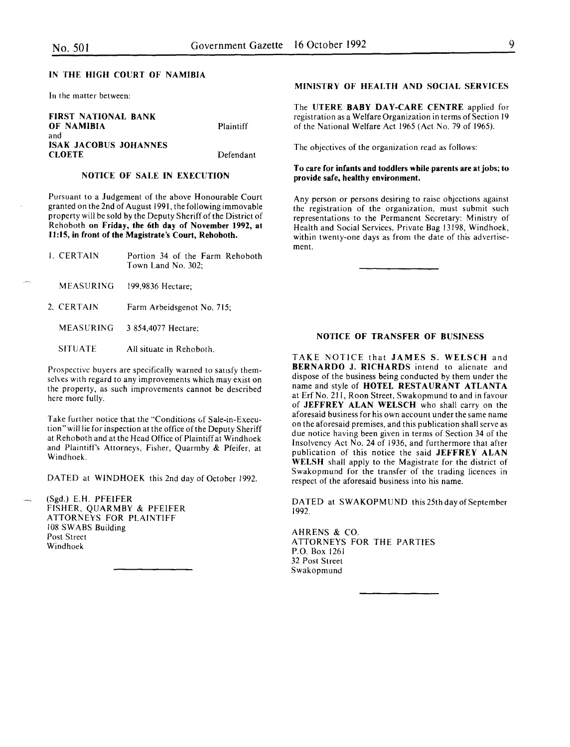In the matter between:

| <b>FIRST NATIONAL BANK</b>   |                  |
|------------------------------|------------------|
| OF NAMIBIA                   | <b>Plaintiff</b> |
| and                          |                  |
| <b>ISAK JACOBUS JOHANNES</b> |                  |
| <b>CLOETE</b>                | Defendant        |

# NOTICE OF SALE IN EXECUTION

Pursuant to a Judgement of the above Honourable Court granted on the 2nd of August 1991, the following immovable property will be sold by the Deputy Sheriff of the District of Rehoboth on Friday, the 6th day of November 1992, at 11:15, in front of the Magistrate's Court, Rehoboth.

| <b>L. CERTAIN</b> | Portion 34 of the Farm Rehoboth<br>Town Land No. 302: |
|-------------------|-------------------------------------------------------|
| MEASURING         | 199,9836 Hectare:                                     |
| 2. CERTAIN        | Farm Arbeidsgenot No. 715;                            |
| MEASURING         | 3 854,4077 Hectare;                                   |
| <b>SITUATE</b>    | All situate in Rehoboth.                              |
|                   |                                                       |

Prospective buyers are specifically warned to sausfy themselves with regard to any improvements which may exist on the property, as such improvements cannot be described here more fully.

Take further notice that the "Conditions of Sale-in-Execution" will lie for inspection at the office of the Deputy Sheriff at Rehoboth and at the Head Office of Plaintiff at Windhoek and Plaintiffs Attorneys, Fisher, Quarmby & Pfeifer, at Windhoek.

DATED at WINDHOEK this 2nd day of October 1992.

(Sgd.) E.H. PFEIFER FISHER, QUARMBY & PFEIFER ATTORNEYS FOR PLAINTIFF 108 SWABS Building Post Street Windhoek

# MINISTRY OF HEALTH AND SOCIAL SERVICES

The UTERE BABY DAY-CARE CENTRE applied for registration as a Welfare Organization in terms of Section 19 of the National Welfare Act 1965 (Act No. 79 of 1965).

The objectives of the organization read as follows:

# To care for infants and toddlers while parents are at jobs; to provide safe, healthy environment.

Any person or persons desiring to raise objections against the registration of the organization, must submit such representations to the Permanent Secretary: Ministry of Health and Social Services, Private Bag 13198, Windhoek, within twenty-one days as from the date of this advertisement.

#### NOTICE OF TRANSFER OF BUSINESS

TAKE NOTICE that JAMES S. WELSCH and BERNARDO J. RICHARDS intend to alienate and dispose of the business being conducted by them under the name and style of HOTEL RESTAURANT ATLANTA at Erf No. 211, Roon Street, Swakopmund to and in favour of JEFFREY ALAN WELSCH who shall carry on the aforesaid business for his own account under the same name on the aforesaid premises, and this publication shall serve as due notice having been given in terms of Section 34 of the Insolvency Act No. 24 of 1936, and furthermore that after publication of this notice the said JEFFREY ALAN WELSH shall apply to the Magistrate for the district of Swakopmund for the transfer of the trading licences in respect of the aforesaid business into his name.

DATED at SWAKOPMUND this 25th day of September 1992.

AHRENS & CO. ATTORNEYS FOR THE PARTIES P.O. Box 1261 32 Post Street Swakopmund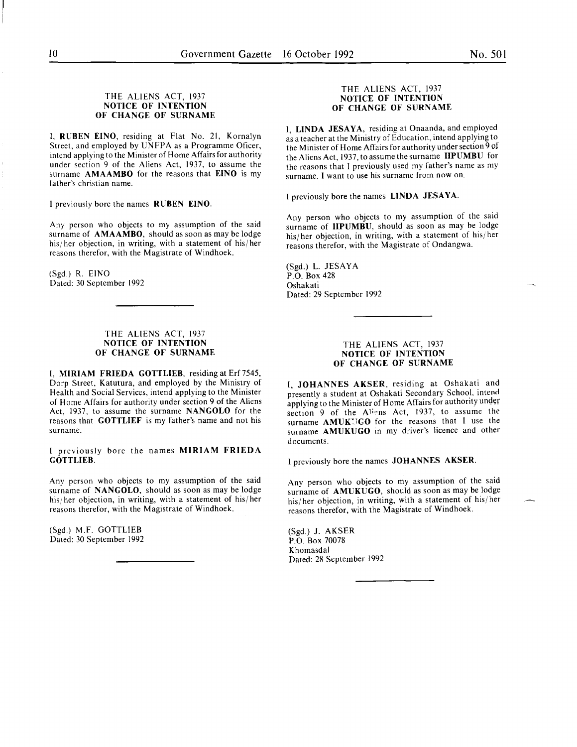# THE ALIENS ACT, 1937 NOTICE OF INTENTION OF CHANGE OF SURNAME

I, RUBEN EINO, residing at Flat No. 21, Kornalyn Street, and employed by UNFPA as a Programme Oficer, intend applying to the Minister of Home Affairs for authority under section 9 of the Aliens Act, 1937, to assume the surname AMAAMBO for the reasons that EINO is my father's christian name.

I previously bore the names RUBEN EINO.

Any person who objects to my assumption of the said surname of **AMAAMBO**, should as soon as may be lodge his/ her objection, in writing, with a statement of his/ her reasons therefor, with the Magistrate of Windhoek.

(Sgd.) R. EINO Dated: 30 September 1992

# THE ALIENS ACT, 1937 NOTICE OF INTENTION OF CHANGE OF SURNAME

I, MIRIAM FRIEDA GOTTLIEB, residing at Erf 7545, Dorp Street, Katutura, and employed by the Ministry of Health and Social Services, intend applying to the Minister of Home Affairs for authority under section 9 of the Aliens Act, 1937, to assume the surname NANGOLO for the reasons that GOTTLIEF is my father's name and not his surname.

I previously bore the names MIRIAM FRIEDA GOTTLIEB.

Any person who objects to my assumption of the said surname of NANGOLO, should as soon as may be lodge his/her objection, in writing, with a statement of his/her reasons therefor, with the Magistrate of Windhoek.

(Sgd.) M.F. GOTTLIEB Dated: 30 September 1992

# THE ALIENS ACT, 1937 NOTICE OF INTENTION OF CHANGE OF SURNAME

I, LINDA JESAYA, residing at Onaanda, and employed as a teacher at the Ministry of Education, intend applying to the Minister of Home Affairs for authority under section 9 of the Aliens Act, 1937, to assume the surname IIPUMBU for the reasons that I previously used my father's name as my surname. I want to use his surname from now on.

I previously bore the names LINDA JESAYA.

Any person who objects to my assumption of the said surname of **IIPUMBU**, should as soon as may be lodge his/ her objection, in writing, with a statement of his/ her reasons therefor, with the Magistrate of Ondangwa.

(Sgd.) L. JESAYA P.O. Box 428 Oshakati Dated: 29 September 1992

# THE ALIENS ACT, 1937 NOTICE OF INTENTION OF CHANGE OF SURNAME

I, JOHANNES AKSER, residing at Oshakati and presently a student at Oshakati Secondary School. intend applying to the Minister of Home Affairs for authority under section 9 of the Aliens Act, 1937, to assume the surname AMUKUGO for the reasons that I use the surname AMUKUGO in my driver's licence and other documents.

I previously bore the names JOHANNES AKSER.

Any person who objects to my assumption of the said surname of AMUKUGO, should as soon as may be lodge his/ her objection, in writing, with a statement of his/ her reasons therefor, with the Magistrate of Windhoek.

(Sgd.) J. AKSER P.O. Box 70078 Khomasdal Dated: 28 September 1992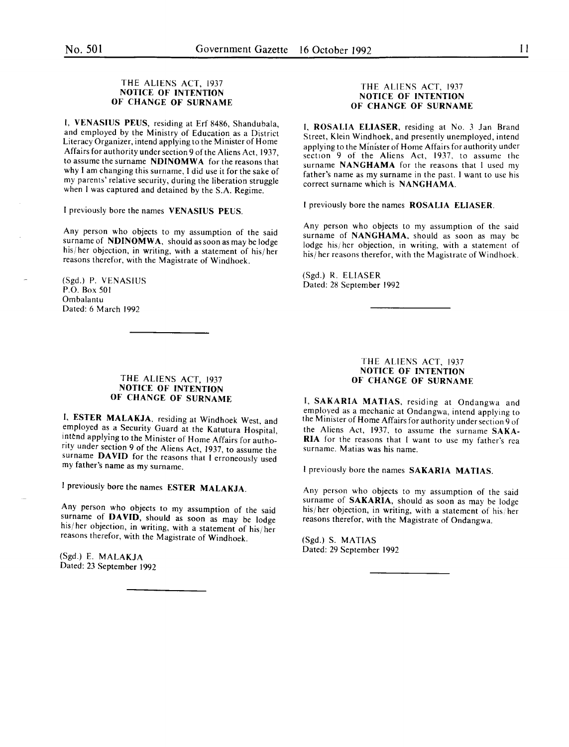# THE ALIENS ACT, 1937 NOTICE OF INTENTION OF CHANGE OF SURNAME

I, VENASIUS PEUS, residing at Erf 8486, Shandubala, and employed by the Ministry of Education as a District Literacy Organizer, intend applying to the Minister of Horne Affairs for authority under section 9 of the Aliens Act, 1937, to assume the surname NDINOMWA for the reasons that why I am changing this surname, I did use it for the sake of my parents' relative security, during the liberation struggle when I was captured and detained by the S.A. Regime.

I previously bore the names VENASIUS PEUS.

Any person who objects to my assumption of the said surname of NDINOMWA, should as soon as may be lodge his/her objection, in writing, with a statement of his/her reasons therefor, with the Magistrate of Windhoek.

(Sgd.) P. VENASIUS P.O. Box 501 Ombalantu Dated: 6 March 1992

# THE ALIENS ACT, 1937 NOTICE OF INTENTION OF CHANGE OF SURNAME

I, ESTER MALAKJA. residing at Windhoek West, and employed as a Security Guard at the Katutura Hospital, intend applying to the Minister of Home Affairs for authority under section 9 of the Aliens Act, 1937, to assume the surname DAVID for the reasons that I erroneously used my father's name as my surname.

I previously bore the names ESTER MALAKJA.

Any person who objects to my assumption of the said surname of DAVID, should as soon as may be lodge his/ her objection, in writing, with a statement of his/ her reasons therefor, with the Magistrate of Windhoek.

(Sgd.) E. MALAKJA Dated: 23 September 1992

#### THE ALIENS ACT, 1937 NOTICE OF INTENTION OF CHANGE OF SURNAME

I. ROSALIA ELIASER, residing at No. 3 Jan Brand Street, Klein Windhoek, and presently unemployed, intend applying to the Minister of Home Affairs for authority under section 9 of the Aliens Act, 1937, to assume the surname NANGHAMA for the reasons that I used my father's name as my surname in the past. I want to use his correct surname which is NANGHAMA.

I previously bore the names ROSALIA ELIASER.

Any person who objects to my assumption of the said surname of NANGHAMA, should as soon as may be lodge his/her objection, in writing, with a statement of his/ her reasons therefor, with the Magistrate of Windhoek.

(Sgd.) R. ELIASER Dated: 28 September 1992

# THE ALIENS ACT, 1937 NOTICE OF INTENTION OF CHANGE OF SURNAME

I, SAKARIA MATIAS, residing at Ondangwa and employed as a mechanic at Ondangwa, intend applying to the Minister of Home Affairs for authority under section 9 of the Aliens Act, 1937, to assume the surname SAKA-RIA for the reasons that I want to use my father's rea surname. Matias was his name.

I previously bore the names SAKARIA MATIAS.

Any person who objects to my assumption of the said surname of SAKARIA, should as soon as may be lodge his/her objection, in writing, with a statement of his/her reasons therefor, with the Magistrate of Ondangwa.

(Sgd.) S. MATIAS Dated: 29 September 1992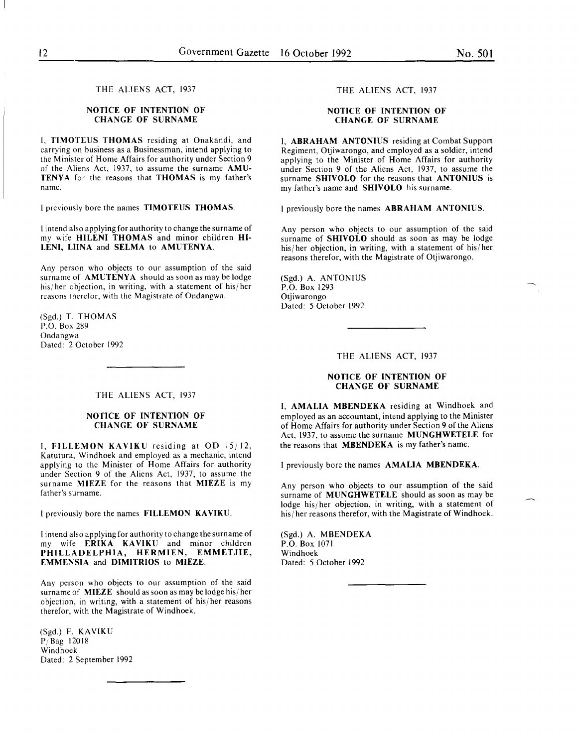THE ALIENS ACT, 1937

# **NOTICE OF INTENTION OF CHANGE OF SURNAME**

I, **TIMOTEUS THOMAS** residing at Onakandi, and carrying on business as a Businessman, intend applying to the Minister of Home Affairs for authority under Section 9 of the Aliens Act, 1937, to assume the surname **AMU-TENYA** for the reasons that **THOMAS** is my father's name.

I previously bore the names **TIMOTEUS THOMAS.** 

I intend also applying for authority to change the surname of my wife **HILENI THOMAS** and minor children **HI-LENI, LUNA** and **SELMA to AMUTENYA.** 

Any person who objects to our assumption of the said surname of **AMUTENYA** should as soon as may be lodge his/her objection, in writing, with a statement of his/her reasons therefor, with the Magistrate of Ondangwa.

(Sgd.) T. THOMAS P.O. Box 289 Ondangwa Dated: 2 October 1992

# THE ALIENS ACT, 1937

# **NOTICE OF INTENTION OF CHANGE OF SURNAME**

I, **FILLEMON KAVIKU** residing at OD 15/12, Katutura, Windhoek and employed as a mechanic, intend applying to the Minister of Home Affairs for authority under Section 9 of the Aliens Act, 1937, to assume the surname **MIEZE** for the reasons that **MIEZE** is my father's surname.

I previously bore the names **FILLEMON KAVIKU.** 

I intend also applying for authority to change the surname of my wife **ERIKA KA VIKU** and minor children **PHILLADELPHIA, HERMIEN, EMMETJIE, EMMENSIA** and **DIMITRIOS to MIEZE.** 

Any person who objects to our assumption of the said surname of **MIEZE** should as soon as may be lodge his/ her objection, in writing, with a statement of his/ her reasons therefor, with the Magistrate of Windhoek.

(Sgd.) F. KAVIKU PjBag 12018 Windhoek Dated: 2 September 1992

# THE ALIENS ACT, 1937

# **NOTICE OF INTENTION OF CHANGE OF SURNAME**

I, **ABRAHAM ANTONIUS** residing at Combat Support Regiment, Otjiwarongo, and employed as a soldier, intend applying to the Minister of Home Affairs for authority under Section 9 of the Aliens Act, 1937, to assume the surname **SHIVOLO** for the reasons that **ANTONIUS** 1s my father's name and **SHIVOLO** his surname.

I previously bore the names **ABRAHAM ANTONIUS.** 

Any person who objects to our assumption of the said surname of **SHIVOLO** should as soon as may be lodge his/ her objection, in writing, with a statement of his/ her reasons therefor, with the Magistrate of Otjiwarongo.

(Sgd.) A. ANTONIUS P.O. Box 1293 Otjiwarongo Dated: 5 October 1992

THE ALIENS ACT, 1937

# **NOTICE OF INTENTION OF CHANGE OF SURNAME**

**I, AMALIA MBENDEKA** residing at Windhoek and employed as an accountant, intend applying to the Minister of Home Affairs for authority under Section 9 of the Aliens Act, 1937, to assume the surname **MUNGHWETELE** for the reasons that **MBENDEKA** is my father's name.

I previously bore the names **AMALIA MBENDEKA.** 

Any person who objects to our assumption of the said surname of **MUNGHWETELE** should as soon as may be lodge his/ her objection, in writing, with a statement of his/her reasons therefor, with the Magistrate of Windhoek.

(Sgd.) A. MBENDEKA P.O. Box 1071 Windhoek Dated: 5 October 1992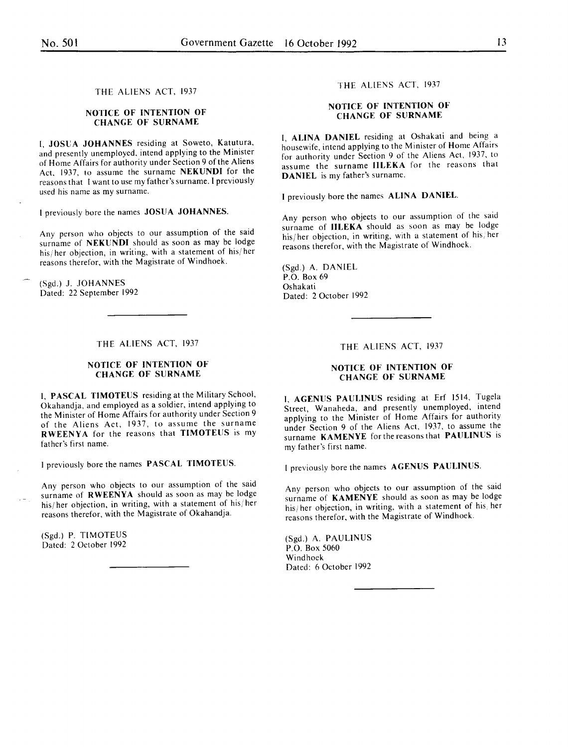# THE ALIENS ACT, 1937

# NOTICE OF INTENTION OF CHANGE OF SURNAME

I, JOSUA JOHANNES residing at Soweto, Katutura, and presently unemployed, intend applying to the Minister of Home Affairs for authority under Section 9 of the Aliens Act. 1937. to assume the surname NEKUNDI for the reasons that I want to use my father's surname. I previously used his name as my surname.

I previously bore the names JOSUA JOHANNES.

Any person who objects to our assumption of the said surname of NEKUNDI should as soon as may be lodge his/ her objection, in writing, with a statement of his/ her reasons therefor. with the Magistrate of Windhoek. '

(Sgd.) J. JOHANNES Dated: 22 September 1992

# THE ALIENS ACT, 1937

# NOTICE OF INTENTION OF CHANGE OF SURNAME

I, PASCAL TIMOTEUS residing at the Military School, Okahandja, and employed as a soldier, intend applying to the Minister of Home Affairs for authority under Section 9 of the Aliens Act, 1937, to assume the surname RWEENYA for the reasons that TIMOTEUS is my father's first name.

I previously bore the names PASCAL TIMOTEUS.

Any person who objects to our assumption of the said surname of **RWEENYA** should as soon as may be lodge his/her objection, in writing, with a statement of his/her reasons therefor, with the Magistrate of Okahandja.

(Sgd.) P. TIMOTEUS Dated: 2 October 1992

#### THE ALIENS ACT. 1937

# NOTICE OF INTENTION OF CHANGE OF SURNAME

I, ALINA DANIEL residing at Oshakati and being a housewife, intend applying to the Minister of Home Affairs for authority under Section 9 of the Aliens Act. 1937. to assume the surname IILEKA for the reasons that DANIEL is my father's surname.

I previously bore the names ALINA DANIEL.

Any person who objects to our assumption of the said surname of **IILEKA** should as soon as may be lodge his/her objection, in writing, with a statement of his/her reasons therefor, with the Magistrate of Windhoek.

(Sgd.) A. DANIEL P.O. Box 69 Oshakati Dated: 2 October 1992

#### THE ALIENS ACT, 1937

# NOTICE OF INTENTION OF CHANGE OF SURNAME

I, AGENUS PAULINUS residing at Erf 1514. Tugela Street, Wanaheda, and presently unemployed, intend applying to the Minister of Home Affairs for authority under Section 9 of the Aliens Act, 1937, to assume the surname KAMENYE for the reasons that PAULINUS is my father's first name.

I previously bore the names AGENUS PAULINUS.

Any person who objects to our assumption of the said surname of KAMENYE should as soon as may be lodge his/her objection, in writing, with a statement of his, her reasons therefor, with the Magistrate of Windhoek. '

(Sgd.) A. PAULINUS P.O. Box 5060 Windhoek Dated: 6 October 1992